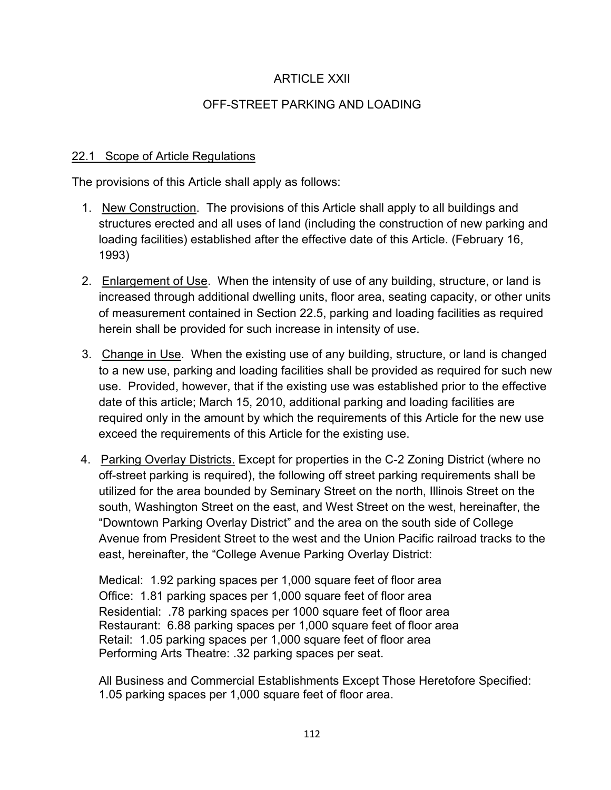# ARTICLE XXII

# OFF-STREET PARKING AND LOADING

#### 22.1 Scope of Article Regulations

The provisions of this Article shall apply as follows:

- 1. New Construction. The provisions of this Article shall apply to all buildings and structures erected and all uses of land (including the construction of new parking and loading facilities) established after the effective date of this Article. (February 16, 1993)
- 2. Enlargement of Use. When the intensity of use of any building, structure, or land is increased through additional dwelling units, floor area, seating capacity, or other units of measurement contained in Section 22.5, parking and loading facilities as required herein shall be provided for such increase in intensity of use.
- 3. Change in Use. When the existing use of any building, structure, or land is changed to a new use, parking and loading facilities shall be provided as required for such new use. Provided, however, that if the existing use was established prior to the effective date of this article; March 15, 2010, additional parking and loading facilities are required only in the amount by which the requirements of this Article for the new use exceed the requirements of this Article for the existing use.
- 4. Parking Overlay Districts. Except for properties in the C-2 Zoning District (where no off-street parking is required), the following off street parking requirements shall be utilized for the area bounded by Seminary Street on the north, Illinois Street on the south, Washington Street on the east, and West Street on the west, hereinafter, the "Downtown Parking Overlay District" and the area on the south side of College Avenue from President Street to the west and the Union Pacific railroad tracks to the east, hereinafter, the "College Avenue Parking Overlay District:

Medical: 1.92 parking spaces per 1,000 square feet of floor area Office: 1.81 parking spaces per 1,000 square feet of floor area Residential: .78 parking spaces per 1000 square feet of floor area Restaurant: 6.88 parking spaces per 1,000 square feet of floor area Retail: 1.05 parking spaces per 1,000 square feet of floor area Performing Arts Theatre: .32 parking spaces per seat.

All Business and Commercial Establishments Except Those Heretofore Specified: 1.05 parking spaces per 1,000 square feet of floor area.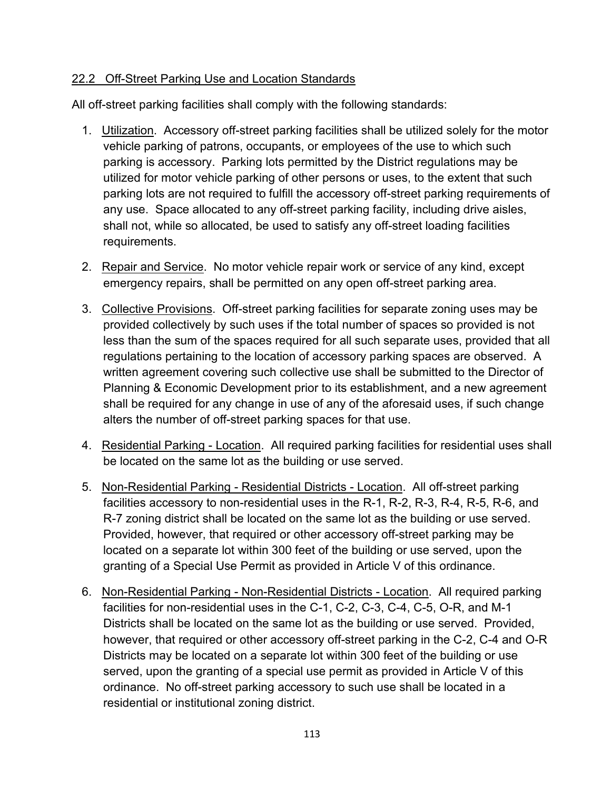#### 22.2 Off-Street Parking Use and Location Standards

All off-street parking facilities shall comply with the following standards:

- 1. Utilization. Accessory off-street parking facilities shall be utilized solely for the motor vehicle parking of patrons, occupants, or employees of the use to which such parking is accessory. Parking lots permitted by the District regulations may be utilized for motor vehicle parking of other persons or uses, to the extent that such parking lots are not required to fulfill the accessory off-street parking requirements of any use. Space allocated to any off-street parking facility, including drive aisles, shall not, while so allocated, be used to satisfy any off-street loading facilities requirements.
- 2. Repair and Service. No motor vehicle repair work or service of any kind, except emergency repairs, shall be permitted on any open off-street parking area.
- 3. Collective Provisions. Off-street parking facilities for separate zoning uses may be provided collectively by such uses if the total number of spaces so provided is not less than the sum of the spaces required for all such separate uses, provided that all regulations pertaining to the location of accessory parking spaces are observed. A written agreement covering such collective use shall be submitted to the Director of Planning & Economic Development prior to its establishment, and a new agreement shall be required for any change in use of any of the aforesaid uses, if such change alters the number of off-street parking spaces for that use.
- 4. Residential Parking Location. All required parking facilities for residential uses shall be located on the same lot as the building or use served.
- 5. Non-Residential Parking Residential Districts Location. All off-street parking facilities accessory to non-residential uses in the R-1, R-2, R-3, R-4, R-5, R-6, and R-7 zoning district shall be located on the same lot as the building or use served. Provided, however, that required or other accessory off-street parking may be located on a separate lot within 300 feet of the building or use served, upon the granting of a Special Use Permit as provided in Article V of this ordinance.
- 6. Non-Residential Parking Non-Residential Districts Location. All required parking facilities for non-residential uses in the C-1, C-2, C-3, C-4, C-5, O-R, and M-1 Districts shall be located on the same lot as the building or use served. Provided, however, that required or other accessory off-street parking in the C-2, C-4 and O-R Districts may be located on a separate lot within 300 feet of the building or use served, upon the granting of a special use permit as provided in Article V of this ordinance. No off-street parking accessory to such use shall be located in a residential or institutional zoning district.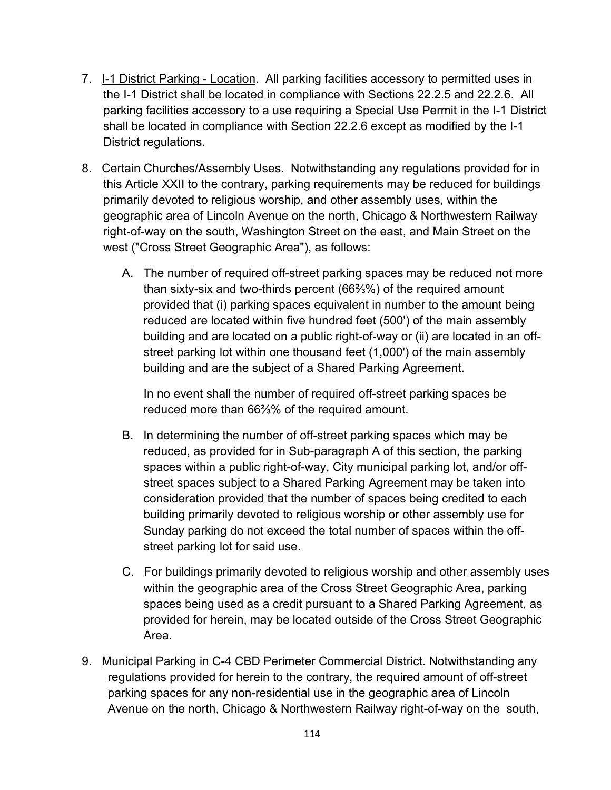- 7. I-1 District Parking Location. All parking facilities accessory to permitted uses in the I-1 District shall be located in compliance with Sections 22.2.5 and 22.2.6. All parking facilities accessory to a use requiring a Special Use Permit in the I-1 District shall be located in compliance with Section 22.2.6 except as modified by the I-1 District regulations.
- 8. Certain Churches/Assembly Uses. Notwithstanding any regulations provided for in this Article XXII to the contrary, parking requirements may be reduced for buildings primarily devoted to religious worship, and other assembly uses, within the geographic area of Lincoln Avenue on the north, Chicago & Northwestern Railway right-of-way on the south, Washington Street on the east, and Main Street on the west ("Cross Street Geographic Area"), as follows:
	- A. The number of required off-street parking spaces may be reduced not more than sixty-six and two-thirds percent (66⅔%) of the required amount provided that (i) parking spaces equivalent in number to the amount being reduced are located within five hundred feet (500') of the main assembly building and are located on a public right-of-way or (ii) are located in an offstreet parking lot within one thousand feet (1,000') of the main assembly building and are the subject of a Shared Parking Agreement.

In no event shall the number of required off-street parking spaces be reduced more than 66⅔% of the required amount.

- B. In determining the number of off-street parking spaces which may be reduced, as provided for in Sub-paragraph A of this section, the parking spaces within a public right-of-way, City municipal parking lot, and/or offstreet spaces subject to a Shared Parking Agreement may be taken into consideration provided that the number of spaces being credited to each building primarily devoted to religious worship or other assembly use for Sunday parking do not exceed the total number of spaces within the offstreet parking lot for said use.
- C. For buildings primarily devoted to religious worship and other assembly uses within the geographic area of the Cross Street Geographic Area, parking spaces being used as a credit pursuant to a Shared Parking Agreement, as provided for herein, may be located outside of the Cross Street Geographic Area.
- 9. Municipal Parking in C-4 CBD Perimeter Commercial District. Notwithstanding any regulations provided for herein to the contrary, the required amount of off-street parking spaces for any non-residential use in the geographic area of Lincoln Avenue on the north, Chicago & Northwestern Railway right-of-way on the south,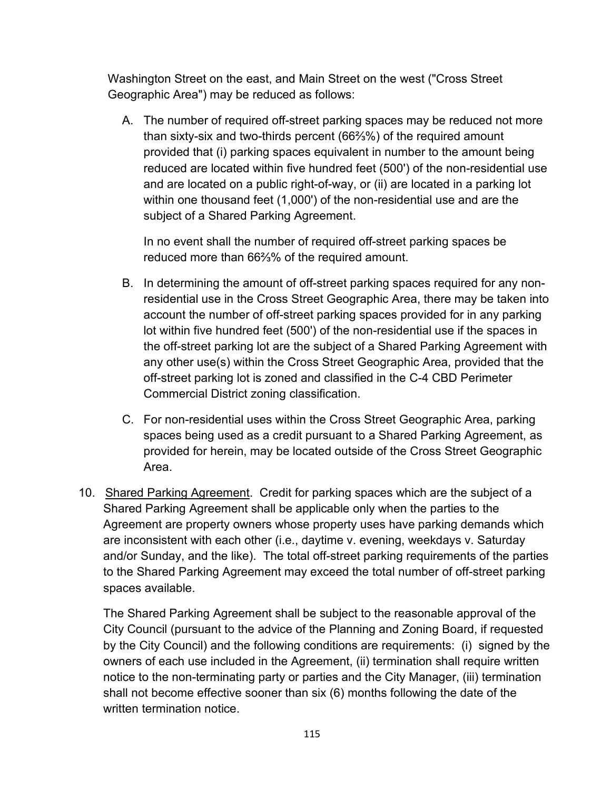Washington Street on the east, and Main Street on the west ("Cross Street Geographic Area") may be reduced as follows:

A. The number of required off-street parking spaces may be reduced not more than sixty-six and two-thirds percent (66⅔%) of the required amount provided that (i) parking spaces equivalent in number to the amount being reduced are located within five hundred feet (500') of the non-residential use and are located on a public right-of-way, or (ii) are located in a parking lot within one thousand feet (1,000') of the non-residential use and are the subject of a Shared Parking Agreement.

In no event shall the number of required off-street parking spaces be reduced more than 66⅔% of the required amount.

- B. In determining the amount of off-street parking spaces required for any nonresidential use in the Cross Street Geographic Area, there may be taken into account the number of off-street parking spaces provided for in any parking lot within five hundred feet (500') of the non-residential use if the spaces in the off-street parking lot are the subject of a Shared Parking Agreement with any other use(s) within the Cross Street Geographic Area, provided that the off-street parking lot is zoned and classified in the C-4 CBD Perimeter Commercial District zoning classification.
- C. For non-residential uses within the Cross Street Geographic Area, parking spaces being used as a credit pursuant to a Shared Parking Agreement, as provided for herein, may be located outside of the Cross Street Geographic Area.
- 10. Shared Parking Agreement. Credit for parking spaces which are the subject of a Shared Parking Agreement shall be applicable only when the parties to the Agreement are property owners whose property uses have parking demands which are inconsistent with each other (i.e., daytime v. evening, weekdays v. Saturday and/or Sunday, and the like). The total off-street parking requirements of the parties to the Shared Parking Agreement may exceed the total number of off-street parking spaces available.

The Shared Parking Agreement shall be subject to the reasonable approval of the City Council (pursuant to the advice of the Planning and Zoning Board, if requested by the City Council) and the following conditions are requirements: (i) signed by the owners of each use included in the Agreement, (ii) termination shall require written notice to the non-terminating party or parties and the City Manager, (iii) termination shall not become effective sooner than six (6) months following the date of the written termination notice.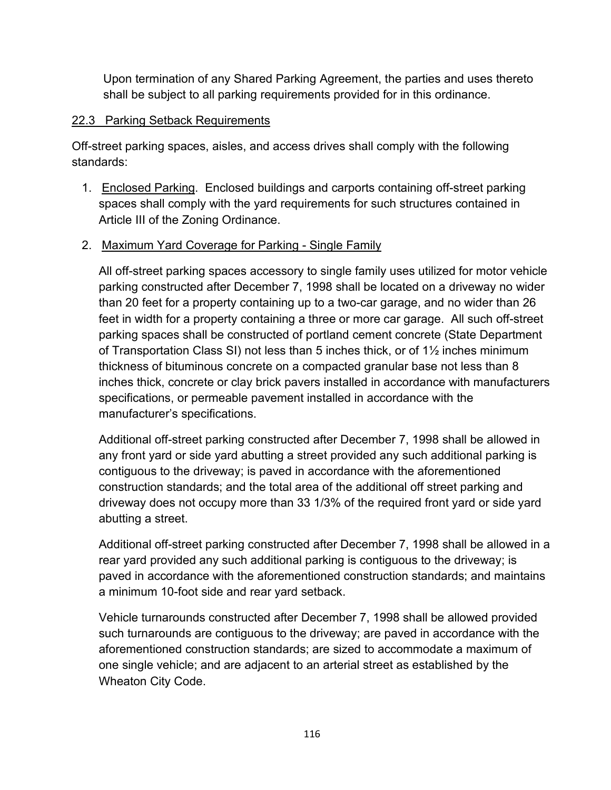Upon termination of any Shared Parking Agreement, the parties and uses thereto shall be subject to all parking requirements provided for in this ordinance.

### 22.3 Parking Setback Requirements

Off-street parking spaces, aisles, and access drives shall comply with the following standards:

 1. Enclosed Parking. Enclosed buildings and carports containing off-street parking spaces shall comply with the yard requirements for such structures contained in Article III of the Zoning Ordinance.

# 2. Maximum Yard Coverage for Parking - Single Family

All off-street parking spaces accessory to single family uses utilized for motor vehicle parking constructed after December 7, 1998 shall be located on a driveway no wider than 20 feet for a property containing up to a two-car garage, and no wider than 26 feet in width for a property containing a three or more car garage. All such off-street parking spaces shall be constructed of portland cement concrete (State Department of Transportation Class SI) not less than 5 inches thick, or of 1½ inches minimum thickness of bituminous concrete on a compacted granular base not less than 8 inches thick, concrete or clay brick pavers installed in accordance with manufacturers specifications, or permeable pavement installed in accordance with the manufacturer's specifications.

Additional off-street parking constructed after December 7, 1998 shall be allowed in any front yard or side yard abutting a street provided any such additional parking is contiguous to the driveway; is paved in accordance with the aforementioned construction standards; and the total area of the additional off street parking and driveway does not occupy more than 33 1/3% of the required front yard or side yard abutting a street.

Additional off-street parking constructed after December 7, 1998 shall be allowed in a rear yard provided any such additional parking is contiguous to the driveway; is paved in accordance with the aforementioned construction standards; and maintains a minimum 10-foot side and rear yard setback.

Vehicle turnarounds constructed after December 7, 1998 shall be allowed provided such turnarounds are contiguous to the driveway; are paved in accordance with the aforementioned construction standards; are sized to accommodate a maximum of one single vehicle; and are adjacent to an arterial street as established by the Wheaton City Code.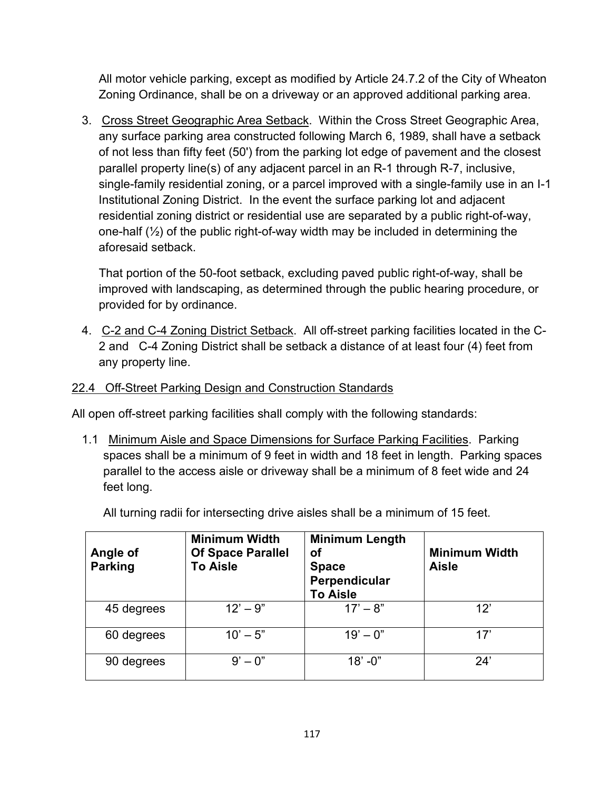All motor vehicle parking, except as modified by Article 24.7.2 of the City of Wheaton Zoning Ordinance, shall be on a driveway or an approved additional parking area.

 3. Cross Street Geographic Area Setback. Within the Cross Street Geographic Area, any surface parking area constructed following March 6, 1989, shall have a setback of not less than fifty feet (50') from the parking lot edge of pavement and the closest parallel property line(s) of any adjacent parcel in an R-1 through R-7, inclusive, single-family residential zoning, or a parcel improved with a single-family use in an I-1 Institutional Zoning District. In the event the surface parking lot and adjacent residential zoning district or residential use are separated by a public right-of-way, one-half  $(\frac{1}{2})$  of the public right-of-way width may be included in determining the aforesaid setback.

That portion of the 50-foot setback, excluding paved public right-of-way, shall be improved with landscaping, as determined through the public hearing procedure, or provided for by ordinance.

 4. C-2 and C-4 Zoning District Setback. All off-street parking facilities located in the C-2 and C-4 Zoning District shall be setback a distance of at least four (4) feet from any property line.

### 22.4 Off-Street Parking Design and Construction Standards

All open off-street parking facilities shall comply with the following standards:

 1.1 Minimum Aisle and Space Dimensions for Surface Parking Facilities. Parking spaces shall be a minimum of 9 feet in width and 18 feet in length. Parking spaces parallel to the access aisle or driveway shall be a minimum of 8 feet wide and 24 feet long.

All turning radii for intersecting drive aisles shall be a minimum of 15 feet.

| Angle of<br><b>Parking</b> | <b>Minimum Width</b><br><b>Of Space Parallel</b><br><b>To Aisle</b> | <b>Minimum Length</b><br>οf<br><b>Space</b><br>Perpendicular<br><b>To Aisle</b> | <b>Minimum Width</b><br><b>Aisle</b> |
|----------------------------|---------------------------------------------------------------------|---------------------------------------------------------------------------------|--------------------------------------|
| 45 degrees                 | $12' - 9''$                                                         | $17' - 8''$                                                                     | 12'                                  |
| 60 degrees                 | $10' - 5"$                                                          | $19' - 0$ "                                                                     | 17'                                  |
| 90 degrees                 | $9' - 0''$                                                          | $18' - 0''$                                                                     | 24'                                  |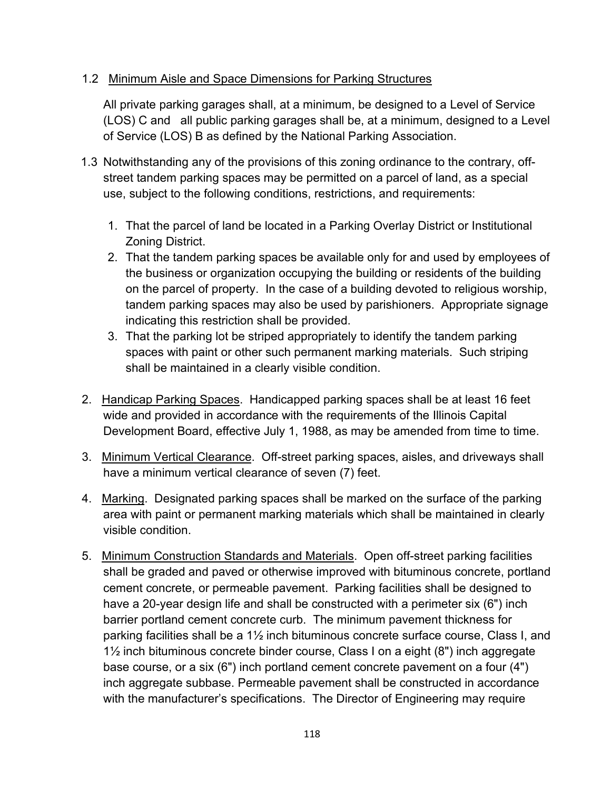### 1.2 Minimum Aisle and Space Dimensions for Parking Structures

All private parking garages shall, at a minimum, be designed to a Level of Service (LOS) C and all public parking garages shall be, at a minimum, designed to a Level of Service (LOS) B as defined by the National Parking Association.

- 1.3 Notwithstanding any of the provisions of this zoning ordinance to the contrary, offstreet tandem parking spaces may be permitted on a parcel of land, as a special use, subject to the following conditions, restrictions, and requirements:
	- 1. That the parcel of land be located in a Parking Overlay District or Institutional Zoning District.
	- 2. That the tandem parking spaces be available only for and used by employees of the business or organization occupying the building or residents of the building on the parcel of property. In the case of a building devoted to religious worship, tandem parking spaces may also be used by parishioners. Appropriate signage indicating this restriction shall be provided.
	- 3. That the parking lot be striped appropriately to identify the tandem parking spaces with paint or other such permanent marking materials. Such striping shall be maintained in a clearly visible condition.
- 2. Handicap Parking Spaces. Handicapped parking spaces shall be at least 16 feet wide and provided in accordance with the requirements of the Illinois Capital Development Board, effective July 1, 1988, as may be amended from time to time.
- 3. Minimum Vertical Clearance. Off-street parking spaces, aisles, and driveways shall have a minimum vertical clearance of seven (7) feet.
- 4. Marking. Designated parking spaces shall be marked on the surface of the parking area with paint or permanent marking materials which shall be maintained in clearly visible condition.
- 5. Minimum Construction Standards and Materials. Open off-street parking facilities shall be graded and paved or otherwise improved with bituminous concrete, portland cement concrete, or permeable pavement. Parking facilities shall be designed to have a 20-year design life and shall be constructed with a perimeter six (6") inch barrier portland cement concrete curb. The minimum pavement thickness for parking facilities shall be a 1½ inch bituminous concrete surface course, Class I, and 1½ inch bituminous concrete binder course, Class I on a eight (8") inch aggregate base course, or a six (6") inch portland cement concrete pavement on a four (4") inch aggregate subbase. Permeable pavement shall be constructed in accordance with the manufacturer's specifications. The Director of Engineering may require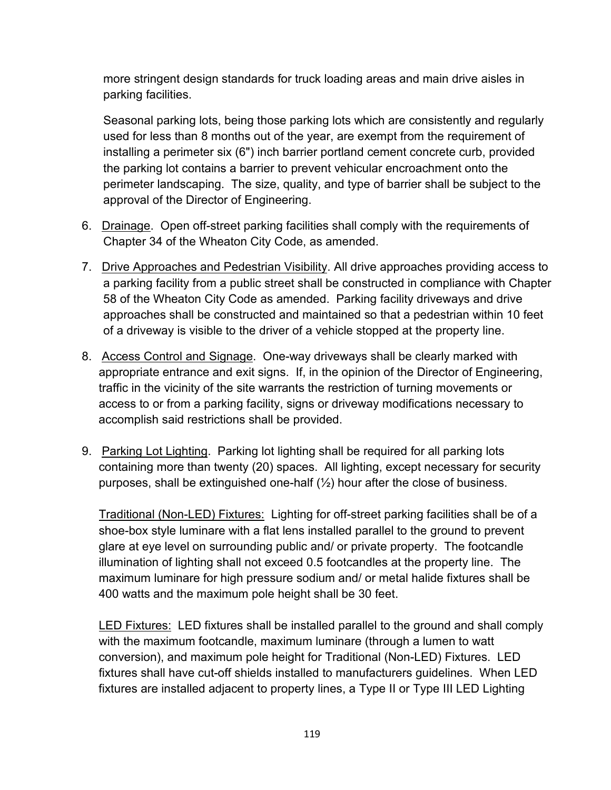more stringent design standards for truck loading areas and main drive aisles in parking facilities.

Seasonal parking lots, being those parking lots which are consistently and regularly used for less than 8 months out of the year, are exempt from the requirement of installing a perimeter six (6") inch barrier portland cement concrete curb, provided the parking lot contains a barrier to prevent vehicular encroachment onto the perimeter landscaping. The size, quality, and type of barrier shall be subject to the approval of the Director of Engineering.

- 6. Drainage. Open off-street parking facilities shall comply with the requirements of Chapter 34 of the Wheaton City Code, as amended.
- 7. Drive Approaches and Pedestrian Visibility. All drive approaches providing access to a parking facility from a public street shall be constructed in compliance with Chapter 58 of the Wheaton City Code as amended. Parking facility driveways and drive approaches shall be constructed and maintained so that a pedestrian within 10 feet of a driveway is visible to the driver of a vehicle stopped at the property line.
- 8. Access Control and Signage. One-way driveways shall be clearly marked with appropriate entrance and exit signs. If, in the opinion of the Director of Engineering, traffic in the vicinity of the site warrants the restriction of turning movements or access to or from a parking facility, signs or driveway modifications necessary to accomplish said restrictions shall be provided.
- 9. Parking Lot Lighting. Parking lot lighting shall be required for all parking lots containing more than twenty (20) spaces. All lighting, except necessary for security purposes, shall be extinguished one-half (½) hour after the close of business.

Traditional (Non-LED) Fixtures: Lighting for off-street parking facilities shall be of a shoe-box style luminare with a flat lens installed parallel to the ground to prevent glare at eye level on surrounding public and/ or private property. The footcandle illumination of lighting shall not exceed 0.5 footcandles at the property line. The maximum luminare for high pressure sodium and/ or metal halide fixtures shall be 400 watts and the maximum pole height shall be 30 feet.

LED Fixtures: LED fixtures shall be installed parallel to the ground and shall comply with the maximum footcandle, maximum luminare (through a lumen to watt conversion), and maximum pole height for Traditional (Non-LED) Fixtures. LED fixtures shall have cut-off shields installed to manufacturers guidelines. When LED fixtures are installed adjacent to property lines, a Type II or Type III LED Lighting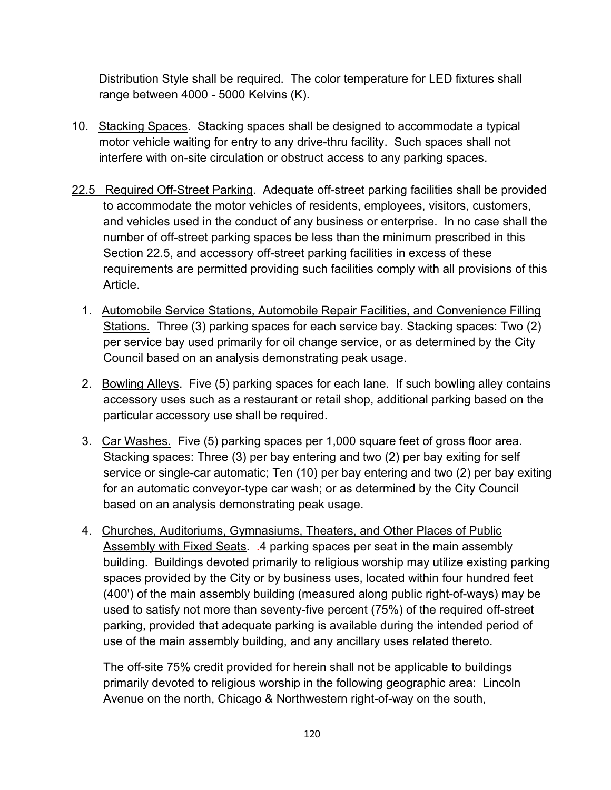Distribution Style shall be required. The color temperature for LED fixtures shall range between 4000 - 5000 Kelvins (K).

- 10. Stacking Spaces. Stacking spaces shall be designed to accommodate a typical motor vehicle waiting for entry to any drive-thru facility. Such spaces shall not interfere with on-site circulation or obstruct access to any parking spaces.
- 22.5 Required Off-Street Parking. Adequate off-street parking facilities shall be provided to accommodate the motor vehicles of residents, employees, visitors, customers, and vehicles used in the conduct of any business or enterprise. In no case shall the number of off-street parking spaces be less than the minimum prescribed in this Section 22.5, and accessory off-street parking facilities in excess of these requirements are permitted providing such facilities comply with all provisions of this Article.
	- 1. Automobile Service Stations, Automobile Repair Facilities, and Convenience Filling Stations. Three (3) parking spaces for each service bay. Stacking spaces: Two (2) per service bay used primarily for oil change service, or as determined by the City Council based on an analysis demonstrating peak usage.
	- 2. Bowling Alleys. Five (5) parking spaces for each lane. If such bowling alley contains accessory uses such as a restaurant or retail shop, additional parking based on the particular accessory use shall be required.
	- 3. Car Washes. Five (5) parking spaces per 1,000 square feet of gross floor area. Stacking spaces: Three (3) per bay entering and two (2) per bay exiting for self service or single-car automatic; Ten (10) per bay entering and two (2) per bay exiting for an automatic conveyor-type car wash; or as determined by the City Council based on an analysis demonstrating peak usage.
	- 4. Churches, Auditoriums, Gymnasiums, Theaters, and Other Places of Public Assembly with Fixed Seats. .4 parking spaces per seat in the main assembly building. Buildings devoted primarily to religious worship may utilize existing parking spaces provided by the City or by business uses, located within four hundred feet (400') of the main assembly building (measured along public right-of-ways) may be used to satisfy not more than seventy-five percent (75%) of the required off-street parking, provided that adequate parking is available during the intended period of use of the main assembly building, and any ancillary uses related thereto.

The off-site 75% credit provided for herein shall not be applicable to buildings primarily devoted to religious worship in the following geographic area: Lincoln Avenue on the north, Chicago & Northwestern right-of-way on the south,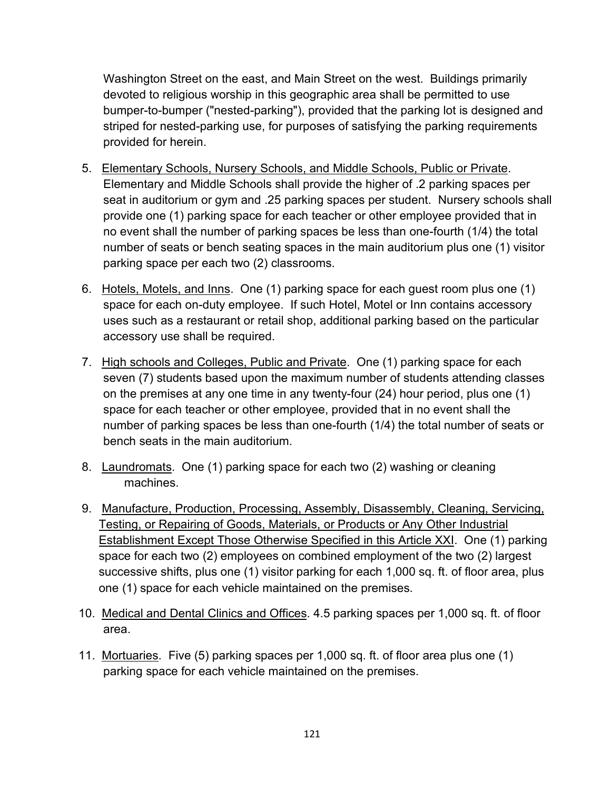Washington Street on the east, and Main Street on the west. Buildings primarily devoted to religious worship in this geographic area shall be permitted to use bumper-to-bumper ("nested-parking"), provided that the parking lot is designed and striped for nested-parking use, for purposes of satisfying the parking requirements provided for herein.

- 5. Elementary Schools, Nursery Schools, and Middle Schools, Public or Private. Elementary and Middle Schools shall provide the higher of .2 parking spaces per seat in auditorium or gym and .25 parking spaces per student. Nursery schools shall provide one (1) parking space for each teacher or other employee provided that in no event shall the number of parking spaces be less than one-fourth (1/4) the total number of seats or bench seating spaces in the main auditorium plus one (1) visitor parking space per each two (2) classrooms.
- 6. Hotels, Motels, and Inns. One (1) parking space for each guest room plus one (1) space for each on-duty employee. If such Hotel, Motel or Inn contains accessory uses such as a restaurant or retail shop, additional parking based on the particular accessory use shall be required.
- 7. High schools and Colleges, Public and Private. One (1) parking space for each seven (7) students based upon the maximum number of students attending classes on the premises at any one time in any twenty-four (24) hour period, plus one (1) space for each teacher or other employee, provided that in no event shall the number of parking spaces be less than one-fourth (1/4) the total number of seats or bench seats in the main auditorium.
- 8. Laundromats. One (1) parking space for each two (2) washing or cleaning machines.
- 9. Manufacture, Production, Processing, Assembly, Disassembly, Cleaning, Servicing, Testing, or Repairing of Goods, Materials, or Products or Any Other Industrial Establishment Except Those Otherwise Specified in this Article XXI. One (1) parking space for each two (2) employees on combined employment of the two (2) largest successive shifts, plus one (1) visitor parking for each 1,000 sq. ft. of floor area, plus one (1) space for each vehicle maintained on the premises.
- 10. Medical and Dental Clinics and Offices. 4.5 parking spaces per 1,000 sq. ft. of floor area.
- 11. Mortuaries. Five (5) parking spaces per 1,000 sq. ft. of floor area plus one (1) parking space for each vehicle maintained on the premises.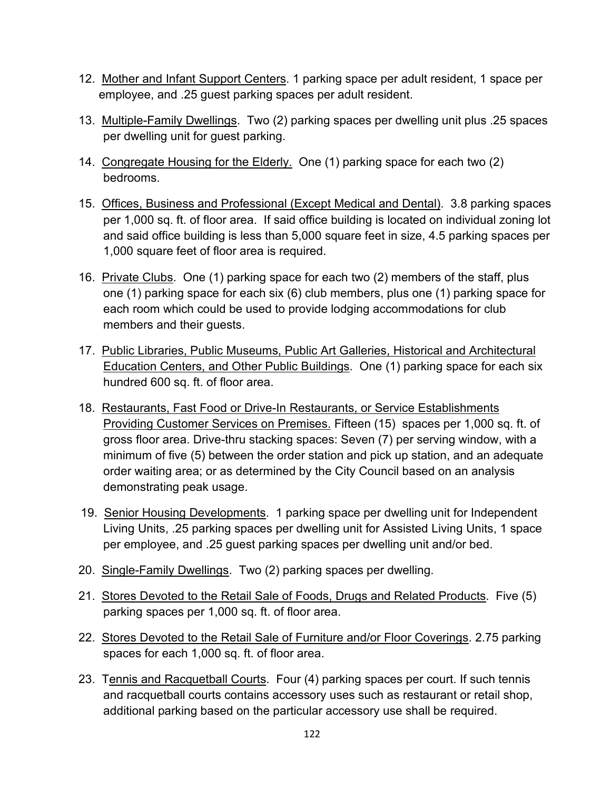- 12. Mother and Infant Support Centers. 1 parking space per adult resident, 1 space per employee, and .25 guest parking spaces per adult resident.
- 13. Multiple-Family Dwellings. Two (2) parking spaces per dwelling unit plus .25 spaces per dwelling unit for guest parking.
- 14. Congregate Housing for the Elderly. One (1) parking space for each two (2) bedrooms.
- 15. Offices, Business and Professional (Except Medical and Dental). 3.8 parking spaces per 1,000 sq. ft. of floor area. If said office building is located on individual zoning lot and said office building is less than 5,000 square feet in size, 4.5 parking spaces per 1,000 square feet of floor area is required.
- 16. Private Clubs. One (1) parking space for each two (2) members of the staff, plus one (1) parking space for each six (6) club members, plus one (1) parking space for each room which could be used to provide lodging accommodations for club members and their guests.
- 17. Public Libraries, Public Museums, Public Art Galleries, Historical and Architectural Education Centers, and Other Public Buildings. One (1) parking space for each six hundred 600 sq. ft. of floor area.
- 18. Restaurants, Fast Food or Drive-In Restaurants, or Service Establishments Providing Customer Services on Premises. Fifteen (15) spaces per 1,000 sq. ft. of gross floor area. Drive-thru stacking spaces: Seven (7) per serving window, with a minimum of five (5) between the order station and pick up station, and an adequate order waiting area; or as determined by the City Council based on an analysis demonstrating peak usage.
- 19. Senior Housing Developments. 1 parking space per dwelling unit for Independent Living Units, .25 parking spaces per dwelling unit for Assisted Living Units, 1 space per employee, and .25 guest parking spaces per dwelling unit and/or bed.
- 20. Single-Family Dwellings. Two (2) parking spaces per dwelling.
- 21. Stores Devoted to the Retail Sale of Foods, Drugs and Related Products. Five (5) parking spaces per 1,000 sq. ft. of floor area.
- 22. Stores Devoted to the Retail Sale of Furniture and/or Floor Coverings. 2.75 parking spaces for each 1,000 sq. ft. of floor area.
- 23. Tennis and Racquetball Courts. Four (4) parking spaces per court. If such tennis and racquetball courts contains accessory uses such as restaurant or retail shop, additional parking based on the particular accessory use shall be required.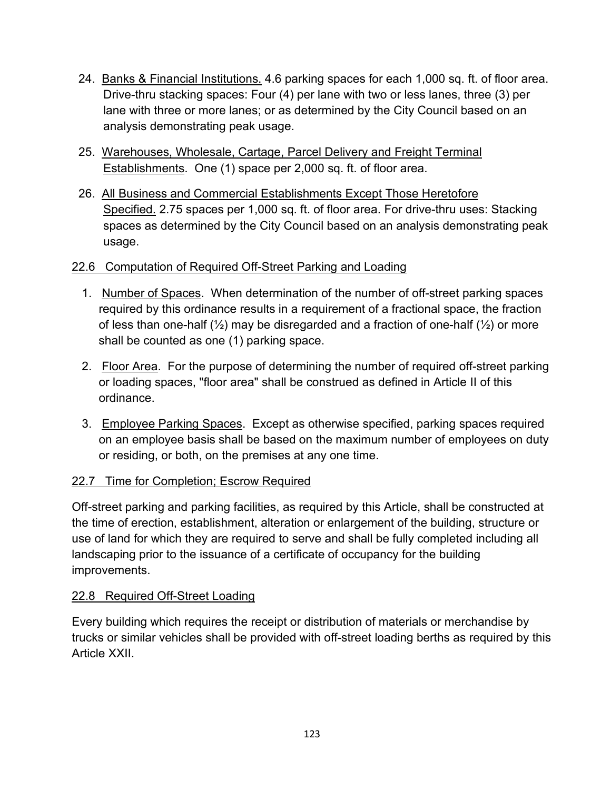- 24. Banks & Financial Institutions. 4.6 parking spaces for each 1,000 sq. ft. of floor area. Drive-thru stacking spaces: Four (4) per lane with two or less lanes, three (3) per lane with three or more lanes; or as determined by the City Council based on an analysis demonstrating peak usage.
- 25. Warehouses, Wholesale, Cartage, Parcel Delivery and Freight Terminal Establishments. One (1) space per 2,000 sq. ft. of floor area.
- 26. All Business and Commercial Establishments Except Those Heretofore Specified. 2.75 spaces per 1,000 sq. ft. of floor area. For drive-thru uses: Stacking spaces as determined by the City Council based on an analysis demonstrating peak usage.

# 22.6 Computation of Required Off-Street Parking and Loading

- 1. Number of Spaces. When determination of the number of off-street parking spaces required by this ordinance results in a requirement of a fractional space, the fraction of less than one-half  $(\frac{1}{2})$  may be disregarded and a fraction of one-half  $(\frac{1}{2})$  or more shall be counted as one (1) parking space.
- 2. Floor Area. For the purpose of determining the number of required off-street parking or loading spaces, "floor area" shall be construed as defined in Article II of this ordinance.
- 3. Employee Parking Spaces. Except as otherwise specified, parking spaces required on an employee basis shall be based on the maximum number of employees on duty or residing, or both, on the premises at any one time.

# 22.7 Time for Completion; Escrow Required

Off-street parking and parking facilities, as required by this Article, shall be constructed at the time of erection, establishment, alteration or enlargement of the building, structure or use of land for which they are required to serve and shall be fully completed including all landscaping prior to the issuance of a certificate of occupancy for the building improvements.

# 22.8 Required Off-Street Loading

Every building which requires the receipt or distribution of materials or merchandise by trucks or similar vehicles shall be provided with off-street loading berths as required by this Article XXII.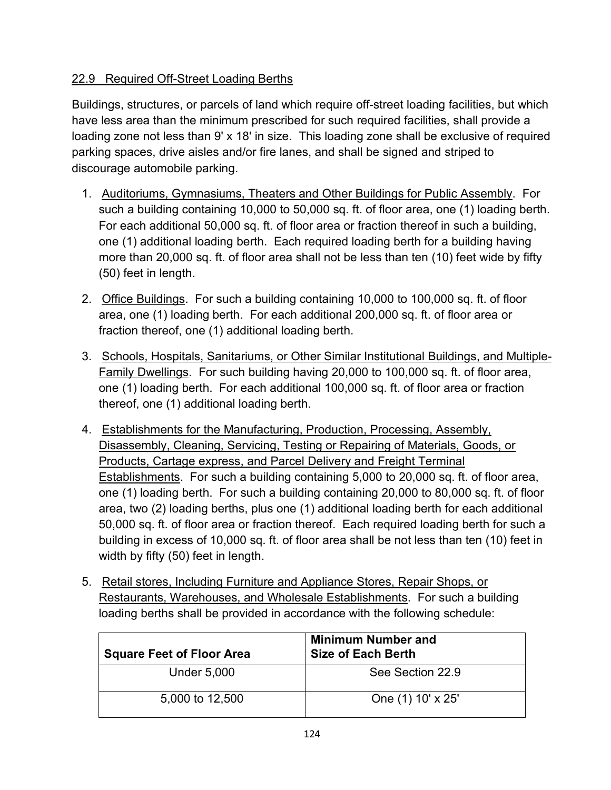# 22.9 Required Off-Street Loading Berths

Buildings, structures, or parcels of land which require off-street loading facilities, but which have less area than the minimum prescribed for such required facilities, shall provide a loading zone not less than 9' x 18' in size. This loading zone shall be exclusive of required parking spaces, drive aisles and/or fire lanes, and shall be signed and striped to discourage automobile parking.

- 1. Auditoriums, Gymnasiums, Theaters and Other Buildings for Public Assembly. For such a building containing 10,000 to 50,000 sq. ft. of floor area, one (1) loading berth. For each additional 50,000 sq. ft. of floor area or fraction thereof in such a building, one (1) additional loading berth. Each required loading berth for a building having more than 20,000 sq. ft. of floor area shall not be less than ten (10) feet wide by fifty (50) feet in length.
- 2. Office Buildings. For such a building containing 10,000 to 100,000 sq. ft. of floor area, one (1) loading berth. For each additional 200,000 sq. ft. of floor area or fraction thereof, one (1) additional loading berth.
- 3. Schools, Hospitals, Sanitariums, or Other Similar Institutional Buildings, and Multiple-Family Dwellings. For such building having 20,000 to 100,000 sq. ft. of floor area, one (1) loading berth. For each additional 100,000 sq. ft. of floor area or fraction thereof, one (1) additional loading berth.
- 4. Establishments for the Manufacturing, Production, Processing, Assembly, Disassembly, Cleaning, Servicing, Testing or Repairing of Materials, Goods, or Products, Cartage express, and Parcel Delivery and Freight Terminal Establishments. For such a building containing 5,000 to 20,000 sq. ft. of floor area, one (1) loading berth. For such a building containing 20,000 to 80,000 sq. ft. of floor area, two (2) loading berths, plus one (1) additional loading berth for each additional 50,000 sq. ft. of floor area or fraction thereof. Each required loading berth for such a building in excess of 10,000 sq. ft. of floor area shall be not less than ten (10) feet in width by fifty (50) feet in length.
- 5. Retail stores, Including Furniture and Appliance Stores, Repair Shops, or Restaurants, Warehouses, and Wholesale Establishments. For such a building loading berths shall be provided in accordance with the following schedule:

| <b>Square Feet of Floor Area</b> | <b>Minimum Number and</b><br><b>Size of Each Berth</b> |
|----------------------------------|--------------------------------------------------------|
| <b>Under 5,000</b>               | See Section 22.9                                       |
| 5,000 to 12,500                  | One (1) 10' x 25'                                      |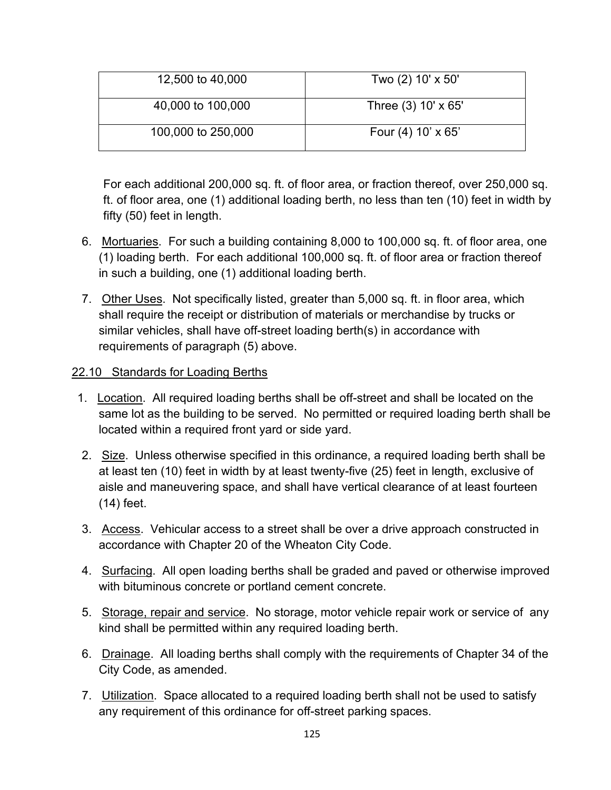| 12,500 to 40,000   | Two (2) 10' x 50'    |
|--------------------|----------------------|
| 40,000 to 100,000  | Three (3) 10' x 65'  |
| 100,000 to 250,000 | Four $(4)$ 10' x 65' |

For each additional 200,000 sq. ft. of floor area, or fraction thereof, over 250,000 sq. ft. of floor area, one (1) additional loading berth, no less than ten (10) feet in width by fifty (50) feet in length.

- 6. Mortuaries. For such a building containing 8,000 to 100,000 sq. ft. of floor area, one (1) loading berth. For each additional 100,000 sq. ft. of floor area or fraction thereof in such a building, one (1) additional loading berth.
- 7. Other Uses. Not specifically listed, greater than 5,000 sq. ft. in floor area, which shall require the receipt or distribution of materials or merchandise by trucks or similar vehicles, shall have off-street loading berth(s) in accordance with requirements of paragraph (5) above.

### 22.10 Standards for Loading Berths

- 1. Location. All required loading berths shall be off-street and shall be located on the same lot as the building to be served. No permitted or required loading berth shall be located within a required front yard or side yard.
- 2. Size. Unless otherwise specified in this ordinance, a required loading berth shall be at least ten (10) feet in width by at least twenty-five (25) feet in length, exclusive of aisle and maneuvering space, and shall have vertical clearance of at least fourteen (14) feet.
- 3. Access. Vehicular access to a street shall be over a drive approach constructed in accordance with Chapter 20 of the Wheaton City Code.
- 4. Surfacing. All open loading berths shall be graded and paved or otherwise improved with bituminous concrete or portland cement concrete.
- 5. Storage, repair and service. No storage, motor vehicle repair work or service of any kind shall be permitted within any required loading berth.
- 6. Drainage. All loading berths shall comply with the requirements of Chapter 34 of the City Code, as amended.
- 7. Utilization. Space allocated to a required loading berth shall not be used to satisfy any requirement of this ordinance for off-street parking spaces.